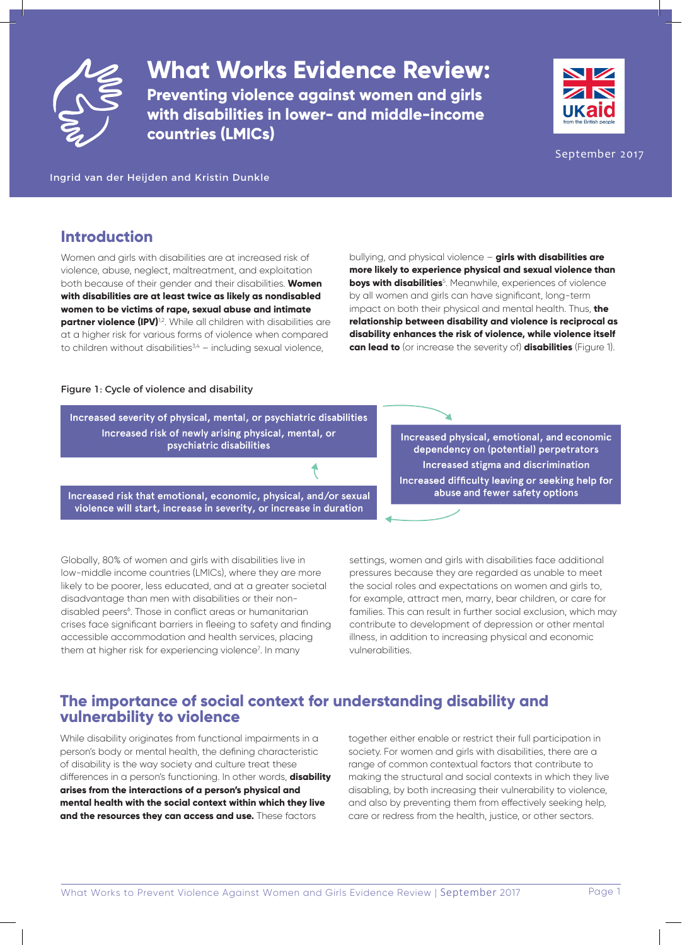

**What Works Evidence Review:**

**Preventing violence against women and girls with disabilities in lower- and middle-income countries (LMICs)**



September 2017

Ingrid van der Heijden and Kristin Dunkle

## **Introduction**

Women and girls with disabilities are at increased risk of violence, abuse, neglect, maltreatment, and exploitation both because of their gender and their disabilities. **Women with disabilities are at least twice as likely as nondisabled women to be victims of rape, sexual abuse and intimate partner violence (IPV)**<sup>1,2</sup>. While all children with disabilities are at a higher risk for various forms of violence when compared to children without disabilities $3,4 - 1$ including sexual violence,

bullying, and physical violence – **girls with disabilities are more likely to experience physical and sexual violence than boys with disabilities**<sup>5</sup> . Meanwhile, experiences of violence by all women and girls can have significant, long-term impact on both their physical and mental health. Thus, **the relationship between disability and violence is reciprocal as disability enhances the risk of violence, while violence itself can lead to** (or increase the severity of) **disabilities** (Figure 1).

#### Figure 1: Cycle of violence and disability

Increased severity of physical, mental, or psychiatric disabilities Increased risk of newly arising physical, mental, or psychiatric disabilities

Increased risk that emotional, economic, physical, and/or sexual violence will start, increase in severity, or increase in duration

Increased physical, emotional, and economic dependency on (potential) perpetrators Increased stigma and discrimination Increased difficulty leaving or seeking help for abuse and fewer safety options

Globally, 80% of women and girls with disabilities live in low-middle income countries (LMICs), where they are more likely to be poorer, less educated, and at a greater societal disadvantage than men with disabilities or their nondisabled peers<sup>6</sup>. Those in conflict areas or humanitarian crises face significant barriers in fleeing to safety and finding accessible accommodation and health services, placing them at higher risk for experiencing violence<sup>7</sup>. In many

settings, women and girls with disabilities face additional pressures because they are regarded as unable to meet the social roles and expectations on women and girls to, for example, attract men, marry, bear children, or care for families. This can result in further social exclusion, which may contribute to development of depression or other mental illness, in addition to increasing physical and economic vulnerabilities.

# **The importance of social context for understanding disability and vulnerability to violence**

While disability originates from functional impairments in a person's body or mental health, the defining characteristic of disability is the way society and culture treat these differences in a person's functioning. In other words, **disability arises from the interactions of a person's physical and mental health with the social context within which they live and the resources they can access and use.** These factors

together either enable or restrict their full participation in society. For women and girls with disabilities, there are a range of common contextual factors that contribute to making the structural and social contexts in which they live disabling, by both increasing their vulnerability to violence, and also by preventing them from effectively seeking help, care or redress from the health, justice, or other sectors.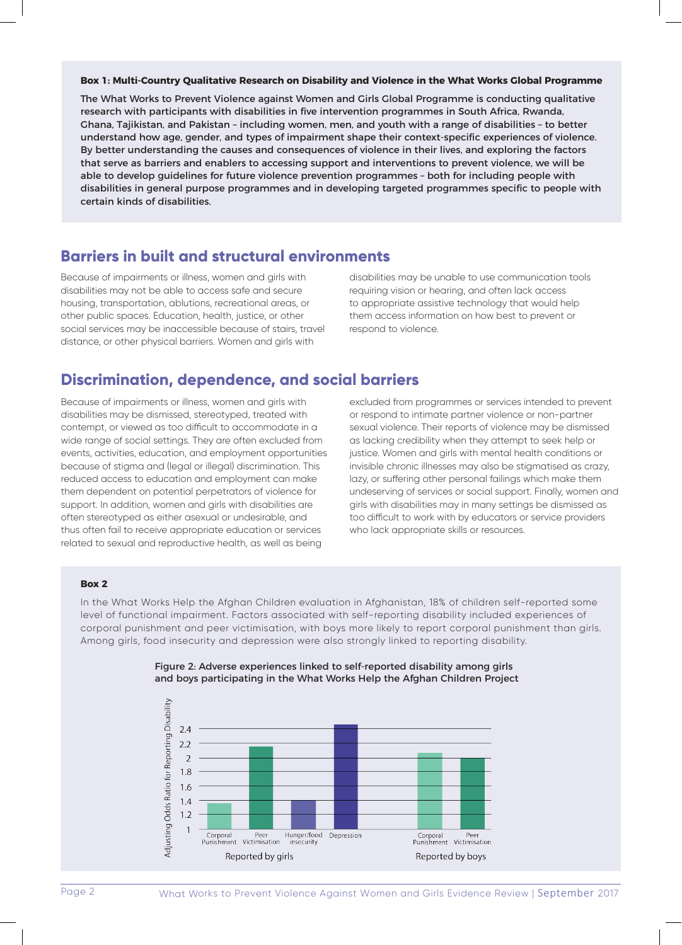#### **Box 1: Multi-Country Qualitative Research on Disability and Violence in the What Works Global Programme**

The What Works to Prevent Violence against Women and Girls Global Programme is conducting qualitative research with participants with disabilities in five intervention programmes in South Africa, Rwanda, Ghana, Tajikistan, and Pakistan – including women, men, and youth with a range of disabilities – to better understand how age, gender, and types of impairment shape their context-specific experiences of violence. By better understanding the causes and consequences of violence in their lives, and exploring the factors that serve as barriers and enablers to accessing support and interventions to prevent violence, we will be able to develop guidelines for future violence prevention programmes – both for including people with disabilities in general purpose programmes and in developing targeted programmes specific to people with certain kinds of disabilities.

### **Barriers in built and structural environments**

Because of impairments or illness, women and girls with disabilities may not be able to access safe and secure housing, transportation, ablutions, recreational areas, or other public spaces. Education, health, justice, or other social services may be inaccessible because of stairs, travel distance, or other physical barriers. Women and girls with

disabilities may be unable to use communication tools requiring vision or hearing, and often lack access to appropriate assistive technology that would help them access information on how best to prevent or respond to violence.

## **Discrimination, dependence, and social barriers**

Because of impairments or illness, women and girls with disabilities may be dismissed, stereotyped, treated with contempt, or viewed as too difficult to accommodate in a wide range of social settings. They are often excluded from events, activities, education, and employment opportunities because of stigma and (legal or illegal) discrimination. This reduced access to education and employment can make them dependent on potential perpetrators of violence for support. In addition, women and girls with disabilities are often stereotyped as either asexual or undesirable, and thus often fail to receive appropriate education or services related to sexual and reproductive health, as well as being

excluded from programmes or services intended to prevent or respond to intimate partner violence or non-partner sexual violence. Their reports of violence may be dismissed as lacking credibility when they attempt to seek help or justice. Women and girls with mental health conditions or invisible chronic illnesses may also be stigmatised as crazy, lazy, or suffering other personal failings which make them undeserving of services or social support. Finally, women and girls with disabilities may in many settings be dismissed as too difficult to work with by educators or service providers who lack appropriate skills or resources.

#### **Box 2**

In the What Works Help the Afghan Children evaluation in Afghanistan, 18% of children self-reported some level of functional impairment. Factors associated with self-reporting disability included experiences of corporal punishment and peer victimisation, with boys more likely to report corporal punishment than girls. Among girls, food insecurity and depression were also strongly linked to reporting disability.



#### Figure 2: Adverse experiences linked to self-reported disability among girls and boys participating in the What Works Help the Afghan Children Project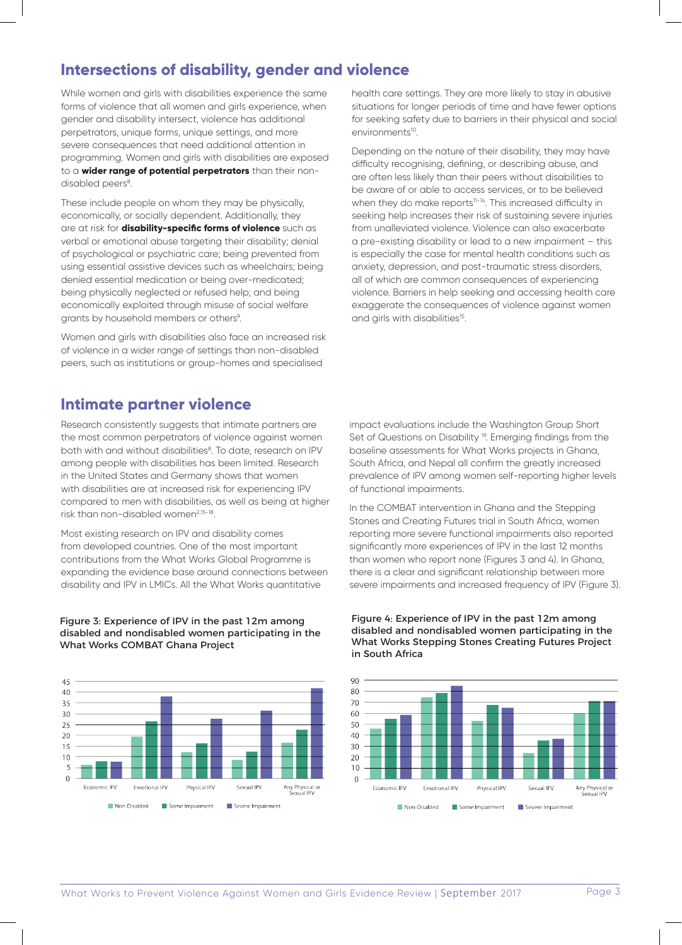# **Intersections of disability, gender and violence**

While women and girls with disabilities experience the same forms of violence that all women and girls experience, when gender and disability intersect, violence has additional perpetrators, unique forms, unique settings, and more severe consequences that need additional attention in programming. Women and girls with disabilities are exposed to a **wider range of potential perpetrators** than their nondisabled peers<sup>8</sup>.

These include people on whom they may be physically, economically, or socially dependent. Additionally, they are at risk for **disability-specific forms of violence** such as verbal or emotional abuse targeting their disability; denial of psychological or psychiatric care; being prevented from using essential assistive devices such as wheelchairs; being denied essential medication or being over-medicated; being physically neglected or refused help; and being economically exploited through misuse of social welfare grants by household members or others<sup>9</sup>.

Women and girls with disabilities also face an increased risk of violence in a wider range of settings than non-disabled peers, such as institutions or group-homes and specialised

## **Intimate partner violence**

Research consistently suggests that intimate partners are the most common perpetrators of violence against women both with and without disabilities<sup>8</sup>. To date, research on IPV among people with disabilities has been limited. Research in the United States and Germany shows that women with disabilities are at increased risk for experiencing IPV compared to men with disabilities, as well as being at higher risk than non-disabled women<sup>2,15-18</sup>.

Most existing research on IPV and disability comes from developed countries. One of the most important contributions from the What Works Global Programme is expanding the evidence base around connections between disability and IPV in LMICs. All the What Works quantitative

#### Figure 3: Experience of IPV in the past 12m among disabled and nondisabled women participating in the What Works COMBAT Ghana Project



health care settings. They are more likely to stay in abusive situations for longer periods of time and have fewer options for seeking safety due to barriers in their physical and social environments<sup>10</sup>.

Depending on the nature of their disability, they may have difficulty recognising, defining, or describing abuse, and are often less likely than their peers without disabilities to be aware of or able to access services, or to be believed when they do make reports<sup>11-14</sup>. This increased difficulty in seeking help increases their risk of sustaining severe injuries from unalleviated violence. Violence can also exacerbate a pre-existing disability or lead to a new impairment – this is especially the case for mental health conditions such as anxiety, depression, and post-traumatic stress disorders, all of which are common consequences of experiencing violence. Barriers in help seeking and accessing health care exaggerate the consequences of violence against women and girls with disabilities<sup>15</sup>.

impact evaluations include the Washington Group Short Set of Questions on Disability<sup>19</sup>. Emerging findings from the baseline assessments for What Works projects in Ghana, South Africa, and Nepal all confirm the greatly increased prevalence of IPV among women self-reporting higher levels of functional impairments.

In the COMBAT intervention in Ghana and the Stepping Stones and Creating Futures trial in South Africa, women reporting more severe functional impairments also reported significantly more experiences of IPV in the last 12 months than women who report none (Figures 3 and 4). In Ghana, there is a clear and significant relationship between more severe impairments and increased frequency of IPV (Figure 3).

#### Figure 4: Experience of IPV in the past 12m among disabled and nondisabled women participating in the What Works Stepping Stones Creating Futures Project in South Africa

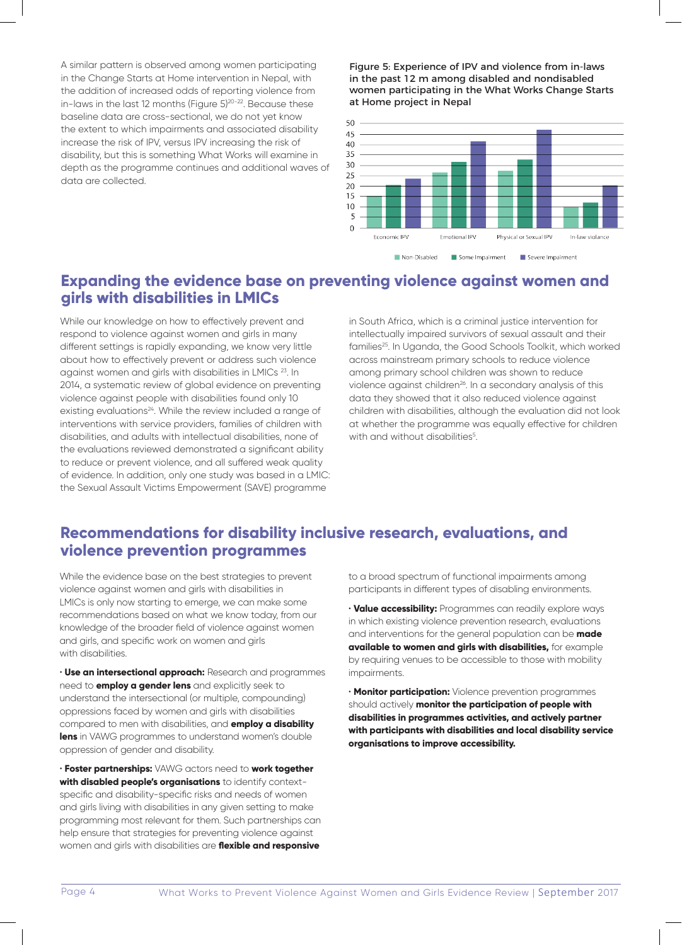A similar pattern is observed among women participating in the Change Starts at Home intervention in Nepal, with the addition of increased odds of reporting violence from in-laws in the last 12 months (Figure 5)<sup>20-22</sup>. Because these baseline data are cross-sectional, we do not yet know the extent to which impairments and associated disability increase the risk of IPV, versus IPV increasing the risk of disability, but this is something What Works will examine in depth as the programme continues and additional waves of data are collected.

#### Figure 5: Experience of IPV and violence from in-laws in the past 12 m among disabled and nondisabled women participating in the What Works Change Starts at Home project in Nepal





## **Expanding the evidence base on preventing violence against women and girls with disabilities in LMICs**

While our knowledge on how to effectively prevent and respond to violence against women and girls in many different settings is rapidly expanding, we know very little about how to effectively prevent or address such violence against women and girls with disabilities in LMICs 23. In 2014, a systematic review of global evidence on preventing violence against people with disabilities found only 10 existing evaluations<sup>24</sup>. While the review included a range of interventions with service providers, families of children with disabilities, and adults with intellectual disabilities, none of the evaluations reviewed demonstrated a significant ability to reduce or prevent violence, and all suffered weak quality of evidence. In addition, only one study was based in a LMIC: the Sexual Assault Victims Empowerment (SAVE) programme

in South Africa, which is a criminal justice intervention for intellectually impaired survivors of sexual assault and their families<sup>25</sup>. In Uganda, the Good Schools Toolkit, which worked across mainstream primary schools to reduce violence among primary school children was shown to reduce violence against children<sup>26</sup>. In a secondary analysis of this data they showed that it also reduced violence against children with disabilities, although the evaluation did not look at whether the programme was equally effective for children with and without disabilities<sup>5</sup>.

## **Recommendations for disability inclusive research, evaluations, and violence prevention programmes**

While the evidence base on the best strategies to prevent violence against women and girls with disabilities in LMICs is only now starting to emerge, we can make some recommendations based on what we know today, from our knowledge of the broader field of violence against women and girls, and specific work on women and girls with disabilities.

• **Use an intersectional approach:** Research and programmes need to **employ a gender lens** and explicitly seek to understand the intersectional (or multiple, compounding) oppressions faced by women and girls with disabilities compared to men with disabilities, and **employ a disability lens** in VAWG programmes to understand women's double oppression of gender and disability.

• **Foster partnerships:** VAWG actors need to **work together with disabled people's organisations** to identify contextspecific and disability-specific risks and needs of women and girls living with disabilities in any given setting to make programming most relevant for them. Such partnerships can help ensure that strategies for preventing violence against women and girls with disabilities are **flexible and responsive**

to a broad spectrum of functional impairments among participants in different types of disabling environments.

• **Value accessibility:** Programmes can readily explore ways in which existing violence prevention research, evaluations and interventions for the general population can be **made available to women and girls with disabilities,** for example by requiring venues to be accessible to those with mobility impairments.

• **Monitor participation:** Violence prevention programmes should actively **monitor the participation of people with disabilities in programmes activities, and actively partner with participants with disabilities and local disability service organisations to improve accessibility.**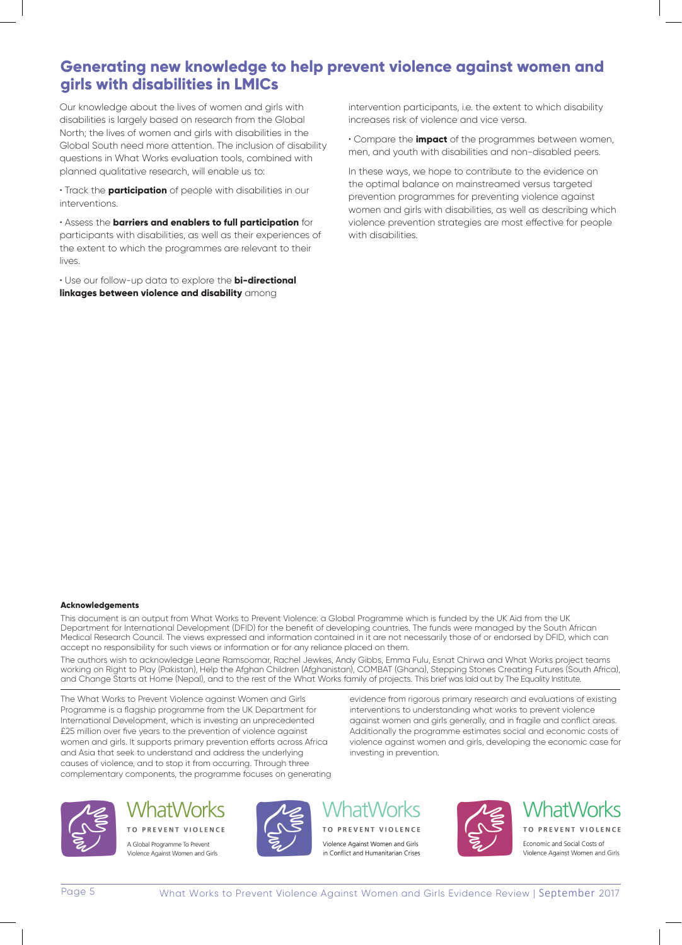# **Generating new knowledge to help prevent violence against women and girls with disabilities in LMICs**

Our knowledge about the lives of women and girls with disabilities is largely based on research from the Global North; the lives of women and girls with disabilities in the Global South need more attention. The inclusion of disability questions in What Works evaluation tools, combined with planned qualitative research, will enable us to:

• Track the **participation** of people with disabilities in our interventions.

• Assess the **barriers and enablers to full participation** for participants with disabilities, as well as their experiences of the extent to which the programmes are relevant to their lives.

• Use our follow-up data to explore the **bi-directional linkages between violence and disability** among

intervention participants, i.e. the extent to which disability increases risk of violence and vice versa.

• Compare the **impact** of the programmes between women, men, and youth with disabilities and non-disabled peers.

In these ways, we hope to contribute to the evidence on the optimal balance on mainstreamed versus targeted prevention programmes for preventing violence against women and girls with disabilities, as well as describing which violence prevention strategies are most effective for people with disabilities.

#### **Acknowledgements**

This document is an output from What Works to Prevent Violence: a Global Programme which is funded by the UK Aid from the UK Department for International Development (DFID) for the benefit of developing countries. The funds were managed by the South African Medical Research Council. The views expressed and information contained in it are not necessarily those of or endorsed by DFID, which can accept no responsibility for such views or information or for any reliance placed on them.

The authors wish to acknowledge Leane Ramsoomar, Rachel Jewkes, Andy Gibbs, Emma Fulu, Esnat Chirwa and What Works project teams working on Right to Play (Pakistan), Help the Afghan Children (Afghanistan), COMBAT (Ghana), Stepping Stones Creating Futures (South Africa), and Change Starts at Home (Nepal), and to the rest of the What Works family of projects. This brief was laid out by The Equality Institute.

The What Works to Prevent Violence against Women and Girls Programme is a flagship programme from the UK Department for International Development, which is investing an unprecedented £25 million over five years to the prevention of violence against women and girls. It supports primary prevention efforts across Africa and Asia that seek to understand and address the underlying causes of violence, and to stop it from occurring. Through three complementary components, the programme focuses on generating

evidence from rigorous primary research and evaluations of existing interventions to understanding what works to prevent violence against women and girls generally, and in fragile and conflict areas. Additionally the programme estimates social and economic costs of violence against women and girls, developing the economic case for investing in prevention.



# WhatWorks

TO PREVENT VIOLENCE A Global Programme To Prevent Violence Against Women and Girls



# atWorks

TO PREVENT VIOLENCE Violence Against Women and Girls in Conflict and Humanitarian Crises



**WhatWorks** TO PREVENT VIOLENCE Economic and Social Costs of Violence Against Women and Girls